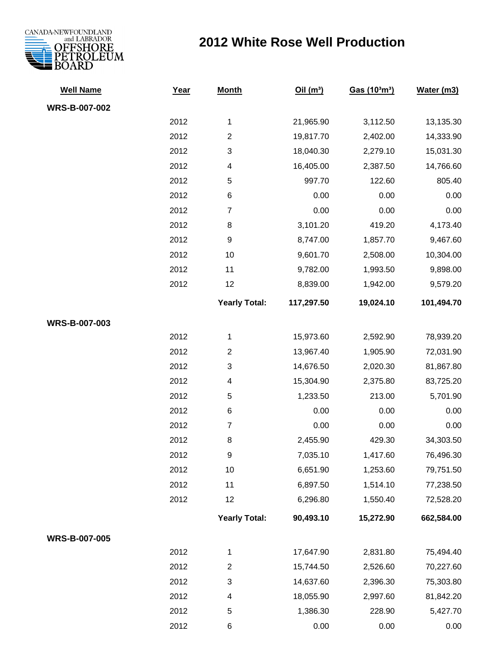

## **2012 White Rose Well Production**

| <b>Well Name</b>     | Year | <b>Month</b>            | Oil(m <sup>3</sup> ) | Gas (10 <sup>3</sup> m <sup>3</sup> ) | Water (m3) |
|----------------------|------|-------------------------|----------------------|---------------------------------------|------------|
| WRS-B-007-002        |      |                         |                      |                                       |            |
|                      | 2012 | $\mathbf{1}$            | 21,965.90            | 3,112.50                              | 13,135.30  |
|                      | 2012 | $\overline{c}$          | 19,817.70            | 2,402.00                              | 14,333.90  |
|                      | 2012 | 3                       | 18,040.30            | 2,279.10                              | 15,031.30  |
|                      | 2012 | 4                       | 16,405.00            | 2,387.50                              | 14,766.60  |
|                      | 2012 | 5                       | 997.70               | 122.60                                | 805.40     |
|                      | 2012 | 6                       | 0.00                 | 0.00                                  | 0.00       |
|                      | 2012 | $\overline{7}$          | 0.00                 | 0.00                                  | 0.00       |
|                      | 2012 | $\bf 8$                 | 3,101.20             | 419.20                                | 4,173.40   |
|                      | 2012 | 9                       | 8,747.00             | 1,857.70                              | 9,467.60   |
|                      | 2012 | 10                      | 9,601.70             | 2,508.00                              | 10,304.00  |
|                      | 2012 | 11                      | 9,782.00             | 1,993.50                              | 9,898.00   |
|                      | 2012 | 12                      | 8,839.00             | 1,942.00                              | 9,579.20   |
|                      |      | <b>Yearly Total:</b>    | 117,297.50           | 19,024.10                             | 101,494.70 |
| WRS-B-007-003        |      |                         |                      |                                       |            |
|                      | 2012 | $\mathbf 1$             | 15,973.60            | 2,592.90                              | 78,939.20  |
|                      | 2012 | $\overline{\mathbf{c}}$ | 13,967.40            | 1,905.90                              | 72,031.90  |
|                      | 2012 | 3                       | 14,676.50            | 2,020.30                              | 81,867.80  |
|                      | 2012 | 4                       | 15,304.90            | 2,375.80                              | 83,725.20  |
|                      | 2012 | 5                       | 1,233.50             | 213.00                                | 5,701.90   |
|                      | 2012 | 6                       | 0.00                 | 0.00                                  | 0.00       |
|                      | 2012 | $\overline{7}$          | 0.00                 | 0.00                                  | 0.00       |
|                      | 2012 | 8                       | 2,455.90             | 429.30                                | 34,303.50  |
|                      | 2012 | 9                       | 7,035.10             | 1,417.60                              | 76,496.30  |
|                      | 2012 | $10$                    | 6,651.90             | 1,253.60                              | 79,751.50  |
|                      | 2012 | 11                      | 6,897.50             | 1,514.10                              | 77,238.50  |
|                      | 2012 | 12                      | 6,296.80             | 1,550.40                              | 72,528.20  |
|                      |      | <b>Yearly Total:</b>    | 90,493.10            | 15,272.90                             | 662,584.00 |
| <b>WRS-B-007-005</b> |      |                         |                      |                                       |            |
|                      | 2012 | 1                       | 17,647.90            | 2,831.80                              | 75,494.40  |
|                      | 2012 | $\overline{c}$          | 15,744.50            | 2,526.60                              | 70,227.60  |
|                      | 2012 | 3                       | 14,637.60            | 2,396.30                              | 75,303.80  |
|                      | 2012 | 4                       | 18,055.90            | 2,997.60                              | 81,842.20  |
|                      | 2012 | 5                       | 1,386.30             | 228.90                                | 5,427.70   |
|                      | 2012 | 6                       | 0.00                 | 0.00                                  | 0.00       |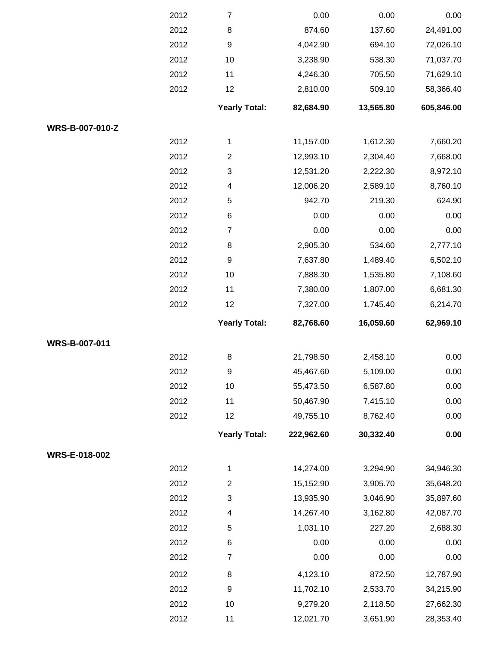|                 | 2012 | $\overline{7}$            | 0.00       | 0.00      | 0.00       |
|-----------------|------|---------------------------|------------|-----------|------------|
|                 | 2012 | $\bf 8$                   | 874.60     | 137.60    | 24,491.00  |
|                 | 2012 | $\boldsymbol{9}$          | 4,042.90   | 694.10    | 72,026.10  |
|                 | 2012 | 10                        | 3,238.90   | 538.30    | 71,037.70  |
|                 | 2012 | 11                        | 4,246.30   | 705.50    | 71,629.10  |
|                 | 2012 | 12                        | 2,810.00   | 509.10    | 58,366.40  |
|                 |      | <b>Yearly Total:</b>      | 82,684.90  | 13,565.80 | 605,846.00 |
| WRS-B-007-010-Z |      |                           |            |           |            |
|                 | 2012 | 1                         | 11,157.00  | 1,612.30  | 7,660.20   |
|                 | 2012 | $\overline{2}$            | 12,993.10  | 2,304.40  | 7,668.00   |
|                 | 2012 | 3                         | 12,531.20  | 2,222.30  | 8,972.10   |
|                 | 2012 | 4                         | 12,006.20  | 2,589.10  | 8,760.10   |
|                 | 2012 | 5                         | 942.70     | 219.30    | 624.90     |
|                 | 2012 | 6                         | 0.00       | 0.00      | 0.00       |
|                 | 2012 | $\overline{7}$            | 0.00       | 0.00      | 0.00       |
|                 | 2012 | 8                         | 2,905.30   | 534.60    | 2,777.10   |
|                 | 2012 | 9                         | 7,637.80   | 1,489.40  | 6,502.10   |
|                 | 2012 | 10                        | 7,888.30   | 1,535.80  | 7,108.60   |
|                 | 2012 | 11                        | 7,380.00   | 1,807.00  | 6,681.30   |
|                 | 2012 | 12                        | 7,327.00   | 1,745.40  | 6,214.70   |
|                 |      |                           |            |           |            |
|                 |      | <b>Yearly Total:</b>      | 82,768.60  | 16,059.60 | 62,969.10  |
| WRS-B-007-011   |      |                           |            |           |            |
|                 | 2012 | $\bf 8$                   | 21,798.50  | 2,458.10  | 0.00       |
|                 | 2012 | 9                         | 45,467.60  | 5,109.00  | 0.00       |
|                 | 2012 | 10                        | 55,473.50  | 6,587.80  | 0.00       |
|                 | 2012 | 11                        | 50,467.90  | 7,415.10  | 0.00       |
|                 | 2012 | 12                        | 49,755.10  | 8,762.40  | 0.00       |
|                 |      | <b>Yearly Total:</b>      | 222,962.60 | 30,332.40 | 0.00       |
| WRS-E-018-002   |      |                           |            |           |            |
|                 | 2012 | 1                         | 14,274.00  | 3,294.90  | 34,946.30  |
|                 | 2012 | $\overline{c}$            | 15,152.90  | 3,905.70  | 35,648.20  |
|                 | 2012 | $\ensuremath{\mathsf{3}}$ | 13,935.90  | 3,046.90  | 35,897.60  |
|                 | 2012 | 4                         | 14,267.40  | 3,162.80  | 42,087.70  |
|                 | 2012 | 5                         | 1,031.10   | 227.20    | 2,688.30   |
|                 | 2012 | 6                         | 0.00       | 0.00      | 0.00       |
|                 | 2012 | $\overline{7}$            | 0.00       | 0.00      | 0.00       |
|                 | 2012 | 8                         | 4,123.10   | 872.50    | 12,787.90  |
|                 | 2012 | $\boldsymbol{9}$          | 11,702.10  | 2,533.70  | 34,215.90  |
|                 | 2012 | 10                        | 9,279.20   | 2,118.50  | 27,662.30  |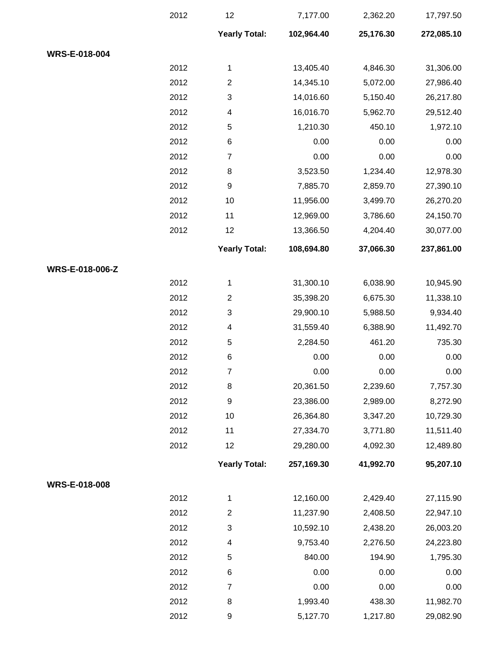|                 | 2012 | 12                   | 7,177.00   | 2,362.20  | 17,797.50  |
|-----------------|------|----------------------|------------|-----------|------------|
|                 |      | <b>Yearly Total:</b> | 102,964.40 | 25,176.30 | 272,085.10 |
| WRS-E-018-004   |      |                      |            |           |            |
|                 | 2012 | 1                    | 13,405.40  | 4,846.30  | 31,306.00  |
|                 | 2012 | $\overline{2}$       | 14,345.10  | 5,072.00  | 27,986.40  |
|                 | 2012 | 3                    | 14,016.60  | 5,150.40  | 26,217.80  |
|                 | 2012 | 4                    | 16,016.70  | 5,962.70  | 29,512.40  |
|                 | 2012 | 5                    | 1,210.30   | 450.10    | 1,972.10   |
|                 | 2012 | 6                    | 0.00       | 0.00      | 0.00       |
|                 | 2012 | $\overline{7}$       | 0.00       | 0.00      | 0.00       |
|                 | 2012 | 8                    | 3,523.50   | 1,234.40  | 12,978.30  |
|                 | 2012 | $\boldsymbol{9}$     | 7,885.70   | 2,859.70  | 27,390.10  |
|                 | 2012 | 10                   | 11,956.00  | 3,499.70  | 26,270.20  |
|                 | 2012 | 11                   | 12,969.00  | 3,786.60  | 24,150.70  |
|                 | 2012 | 12                   | 13,366.50  | 4,204.40  | 30,077.00  |
|                 |      | <b>Yearly Total:</b> | 108,694.80 | 37,066.30 | 237,861.00 |
| WRS-E-018-006-Z |      |                      |            |           |            |
|                 | 2012 | 1                    | 31,300.10  | 6,038.90  | 10,945.90  |
|                 | 2012 | $\overline{2}$       | 35,398.20  | 6,675.30  | 11,338.10  |
|                 | 2012 | 3                    | 29,900.10  | 5,988.50  | 9,934.40   |
|                 | 2012 | 4                    | 31,559.40  | 6,388.90  | 11,492.70  |
|                 | 2012 | 5                    | 2,284.50   | 461.20    | 735.30     |
|                 | 2012 | 6                    | 0.00       | 0.00      | 0.00       |
|                 | 2012 | $\overline{7}$       | 0.00       | 0.00      | 0.00       |
|                 | 2012 | 8                    | 20,361.50  | 2,239.60  | 7,757.30   |
|                 | 2012 | 9                    | 23,386.00  | 2,989.00  | 8,272.90   |
|                 | 2012 | 10                   | 26,364.80  | 3,347.20  | 10,729.30  |
|                 | 2012 | 11                   | 27,334.70  | 3,771.80  | 11,511.40  |
|                 | 2012 | 12                   | 29,280.00  | 4,092.30  | 12,489.80  |
|                 |      | <b>Yearly Total:</b> | 257,169.30 | 41,992.70 | 95,207.10  |
| WRS-E-018-008   |      |                      |            |           |            |
|                 | 2012 | 1                    | 12,160.00  | 2,429.40  | 27,115.90  |
|                 | 2012 | $\overline{2}$       | 11,237.90  | 2,408.50  | 22,947.10  |
|                 | 2012 | 3                    | 10,592.10  | 2,438.20  | 26,003.20  |
|                 | 2012 | 4                    | 9,753.40   | 2,276.50  | 24,223.80  |
|                 | 2012 | 5                    | 840.00     | 194.90    | 1,795.30   |
|                 | 2012 | 6                    | 0.00       | 0.00      | 0.00       |
|                 | 2012 | $\overline{7}$       | 0.00       | 0.00      | 0.00       |
|                 | 2012 | 8                    | 1,993.40   | 438.30    | 11,982.70  |
|                 | 2012 | 9                    | 5,127.70   | 1,217.80  | 29,082.90  |